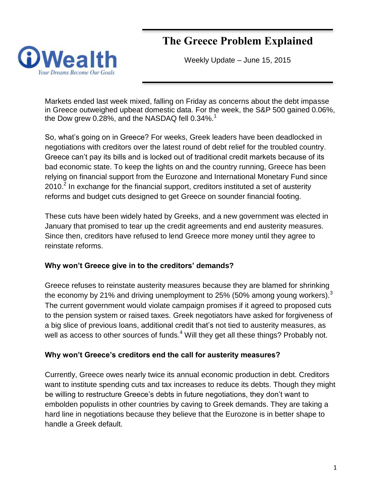# **The Greece Problem Explained**



Weekly Update – June 15, 2015

Markets ended last week mixed, falling on Friday as concerns about the debt impasse in Greece outweighed upbeat domestic data. For the week, the S&P 500 gained 0.06%, the Dow grew 0.28%, and the NASDAQ fell  $0.34\%$ <sup>1</sup>

So, what's going on in Greece? For weeks, Greek leaders have been deadlocked in negotiations with creditors over the latest round of debt relief for the troubled country. Greece can't pay its bills and is locked out of traditional credit markets because of its bad economic state. To keep the lights on and the country running, Greece has been relying on financial support from the Eurozone and International Monetary Fund since 2010. $^2$  In exchange for the financial support, creditors instituted a set of austerity reforms and budget cuts designed to get Greece on sounder financial footing.

These cuts have been widely hated by Greeks, and a new government was elected in January that promised to tear up the credit agreements and end austerity measures. Since then, creditors have refused to lend Greece more money until they agree to reinstate reforms.

# **Why won't Greece give in to the creditors' demands?**

Greece refuses to reinstate austerity measures because they are blamed for shrinking the economy by 21% and driving unemployment to 25% (50% among young workers).<sup>3</sup> The current government would violate campaign promises if it agreed to proposed cuts to the pension system or raised taxes. Greek negotiators have asked for forgiveness of a big slice of previous loans, additional credit that's not tied to austerity measures, as well as access to other sources of funds.<sup>4</sup> Will they get all these things? Probably not.

#### **Why won't Greece's creditors end the call for austerity measures?**

Currently, Greece owes nearly twice its annual economic production in debt. Creditors want to institute spending cuts and tax increases to reduce its debts. Though they might be willing to restructure Greece's debts in future negotiations, they don't want to embolden populists in other countries by caving to Greek demands. They are taking a hard line in negotiations because they believe that the Eurozone is in better shape to handle a Greek default.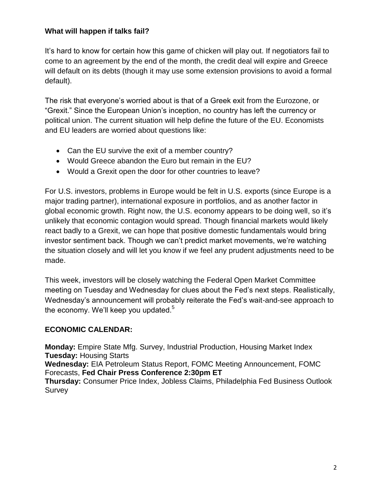# **What will happen if talks fail?**

It's hard to know for certain how this game of chicken will play out. If negotiators fail to come to an agreement by the end of the month, the credit deal will expire and Greece will default on its debts (though it may use some extension provisions to avoid a formal default).

The risk that everyone's worried about is that of a Greek exit from the Eurozone, or "Grexit." Since the European Union's inception, no country has left the currency or political union. The current situation will help define the future of the EU. Economists and EU leaders are worried about questions like:

- Can the EU survive the exit of a member country?
- Would Greece abandon the Euro but remain in the EU?
- Would a Grexit open the door for other countries to leave?

For U.S. investors, problems in Europe would be felt in U.S. exports (since Europe is a major trading partner), international exposure in portfolios, and as another factor in global economic growth. Right now, the U.S. economy appears to be doing well, so it's unlikely that economic contagion would spread. Though financial markets would likely react badly to a Grexit, we can hope that positive domestic fundamentals would bring investor sentiment back. Though we can't predict market movements, we're watching the situation closely and will let you know if we feel any prudent adjustments need to be made.

This week, investors will be closely watching the Federal Open Market Committee meeting on Tuesday and Wednesday for clues about the Fed's next steps. Realistically, Wednesday's announcement will probably reiterate the Fed's wait-and-see approach to the economy. We'll keep you updated. $5$ 

# **ECONOMIC CALENDAR:**

**Monday:** Empire State Mfg. Survey, Industrial Production, Housing Market Index **Tuesday:** Housing Starts **Wednesday:** EIA Petroleum Status Report, FOMC Meeting Announcement, FOMC Forecasts, **Fed Chair Press Conference 2:30pm ET Thursday:** Consumer Price Index, Jobless Claims, Philadelphia Fed Business Outlook Survey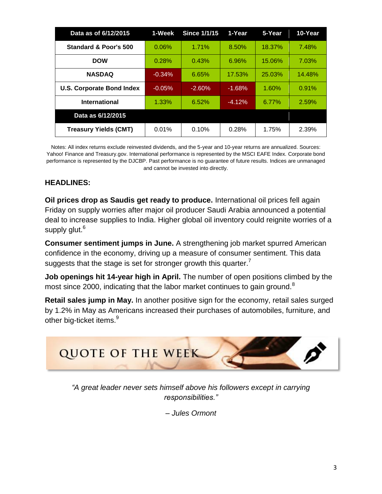| Data as of 6/12/2015             | 1-Week   | <b>Since 1/1/15</b> | 1-Year   | 5-Year | 10-Year |
|----------------------------------|----------|---------------------|----------|--------|---------|
| <b>Standard &amp; Poor's 500</b> | 0.06%    | 1.71%               | 8.50%    | 18.37% | 7.48%   |
| <b>DOW</b>                       | 0.28%    | 0.43%               | 6.96%    | 15.06% | 7.03%   |
| <b>NASDAQ</b>                    | $-0.34%$ | 6.65%               | 17.53%   | 25.03% | 14.48%  |
| <b>U.S. Corporate Bond Index</b> | $-0.05%$ | $-2.60%$            | $-1.68%$ | 1.60%  | 0.91%   |
| <b>International</b>             | 1.33%    | 6.52%               | $-4.12%$ | 6.77%  | 2.59%   |
| Data as 6/12/2015                |          |                     |          |        |         |
| <b>Treasury Yields (CMT)</b>     | 0.01%    | 0.10%               | 0.28%    | 1.75%  | 2.39%   |

Notes: All index returns exclude reinvested dividends, and the 5-year and 10-year returns are annualized. Sources: Yahoo! Finance and [Treasury.gov.](http://treasury.gov/) International performance is represented by the MSCI EAFE Index. Corporate bond performance is represented by the DJCBP. Past performance is no guarantee of future results. Indices are unmanaged and cannot be invested into directly.

# **HEADLINES:**

**Oil prices drop as Saudis get ready to produce.** International oil prices fell again Friday on supply worries after major oil producer Saudi Arabia announced a potential deal to increase supplies to India. Higher global oil inventory could reignite worries of a supply glut.<sup>6</sup>

**Consumer sentiment jumps in June.** A strengthening job market spurred American confidence in the economy, driving up a measure of consumer sentiment. This data suggests that the stage is set for stronger growth this quarter.<sup>7</sup>

**Job openings hit 14-year high in April.** The number of open positions climbed by the most since 2000, indicating that the labor market continues to gain ground.<sup>8</sup>

**Retail sales jump in May.** In another positive sign for the economy, retail sales surged by 1.2% in May as Americans increased their purchases of automobiles, furniture, and other big-ticket items.<sup>9</sup>



*"A great leader never sets himself above his followers except in carrying responsibilities."* 

*– Jules Ormont*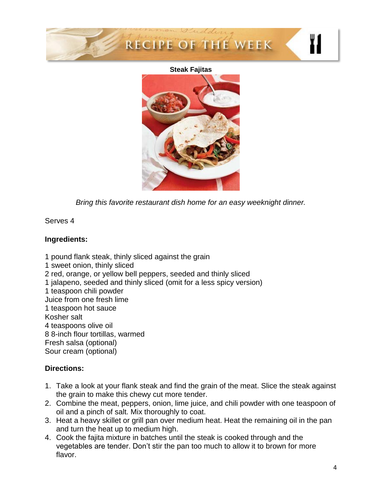

#### **Steak Fajitas**



*Bring this favorite restaurant dish home for an easy weeknight dinner.*

Serves 4

# **Ingredients:**

- 1 pound flank steak, thinly sliced against the grain
- 1 sweet onion, thinly sliced
- 2 red, orange, or yellow bell peppers, seeded and thinly sliced
- 1 jalapeno, seeded and thinly sliced (omit for a less spicy version)
- 1 teaspoon chili powder
- Juice from one fresh lime
- 1 teaspoon hot sauce
- Kosher salt
- 4 teaspoons olive oil
- 8 8-inch flour tortillas, warmed
- Fresh salsa (optional)
- Sour cream (optional)

# **Directions:**

- 1. Take a look at your flank steak and find the grain of the meat. Slice the steak against the grain to make this chewy cut more tender.
- 2. Combine the meat, peppers, onion, lime juice, and chili powder with one teaspoon of oil and a pinch of salt. Mix thoroughly to coat.
- 3. Heat a heavy skillet or grill pan over medium heat. Heat the remaining oil in the pan and turn the heat up to medium high.
- 4. Cook the fajita mixture in batches until the steak is cooked through and the vegetables are tender. Don't stir the pan too much to allow it to brown for more flavor.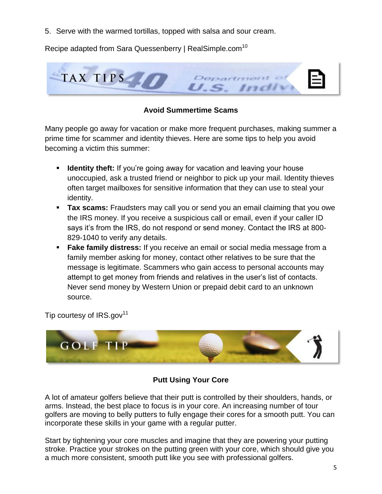5. Serve with the warmed tortillas, topped with salsa and sour cream.

Recipe adapted from Sara Quessenberry | RealSimple.com<sup>10</sup>



# **Avoid Summertime Scams**

Many people go away for vacation or make more frequent purchases, making summer a prime time for scammer and identity thieves. Here are some tips to help you avoid becoming a victim this summer:

- **If Identity theft:** If you're going away for vacation and leaving your house unoccupied, ask a trusted friend or neighbor to pick up your mail. Identity thieves often target mailboxes for sensitive information that they can use to steal your identity.
- **Tax scams:** Fraudsters may call you or send you an email claiming that you owe the IRS money. If you receive a suspicious call or email, even if your caller ID says it's from the IRS, do not respond or send money. Contact the IRS at 800- 829-1040 to verify any details.
- **Fake family distress:** If you receive an email or social media message from a family member asking for money, contact other relatives to be sure that the message is legitimate. Scammers who gain access to personal accounts may attempt to get money from friends and relatives in the user's list of contacts. Never send money by Western Union or prepaid debit card to an unknown source.

Tip courtesy of  $IRS.gov<sup>11</sup>$ 



# **Putt Using Your Core**

A lot of amateur golfers believe that their putt is controlled by their shoulders, hands, or arms. Instead, the best place to focus is in your core. An increasing number of tour golfers are moving to belly putters to fully engage their cores for a smooth putt. You can incorporate these skills in your game with a regular putter.

Start by tightening your core muscles and imagine that they are powering your putting stroke. Practice your strokes on the putting green with your core, which should give you a much more consistent, smooth putt like you see with professional golfers.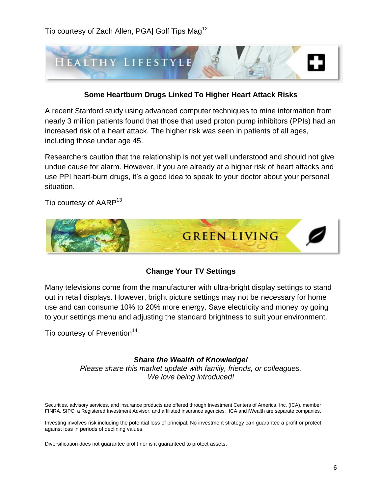

#### **Some Heartburn Drugs Linked To Higher Heart Attack Risks**

A recent Stanford study using advanced computer techniques to mine information from nearly 3 million patients found that those that used proton pump inhibitors (PPIs) had an increased risk of a heart attack. The higher risk was seen in patients of all ages, including those under age 45.

Researchers caution that the relationship is not yet well understood and should not give undue cause for alarm. However, if you are already at a higher risk of heart attacks and use PPI heart-burn drugs, it's a good idea to speak to your doctor about your personal situation.

Tip courtesy of AARP<sup>13</sup>



#### **Change Your TV Settings**

Many televisions come from the manufacturer with ultra-bright display settings to stand out in retail displays. However, bright picture settings may not be necessary for home use and can consume 10% to 20% more energy. Save electricity and money by going to your settings menu and adjusting the standard brightness to suit your environment.

Tip courtesy of Prevention<sup>14</sup>

#### *Share the Wealth of Knowledge!*

*Please share this market update with family, friends, or colleagues. We love being introduced!*

Securities, advisory services, and insurance products are offered through Investment Centers of America, Inc. (ICA), member FINRA, SIPC, a Registered Investment Advisor, and affiliated insurance agencies. ICA and iWealth are separate companies.

Investing involves risk including the potential loss of principal. No investment strategy can guarantee a profit or protect against loss in periods of declining values.

Diversification does not guarantee profit nor is it guaranteed to protect assets.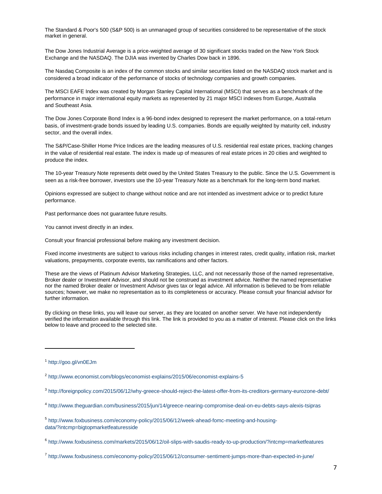The Standard & Poor's 500 (S&P 500) is an unmanaged group of securities considered to be representative of the stock market in general.

The Dow Jones Industrial Average is a price-weighted average of 30 significant stocks traded on the New York Stock Exchange and the NASDAQ. The DJIA was invented by Charles Dow back in 1896.

The Nasdaq Composite is an index of the common stocks and similar securities listed on the NASDAQ stock market and is considered a broad indicator of the performance of stocks of technology companies and growth companies.

The MSCI EAFE Index was created by Morgan Stanley Capital International (MSCI) that serves as a benchmark of the performance in major international equity markets as represented by 21 major MSCI indexes from Europe, Australia and Southeast Asia.

The Dow Jones Corporate Bond Index is a 96-bond index designed to represent the market performance, on a total-return basis, of investment-grade bonds issued by leading U.S. companies. Bonds are equally weighted by maturity cell, industry sector, and the overall index.

The S&P/Case-Shiller Home Price Indices are the leading measures of U.S. residential real estate prices, tracking changes in the value of residential real estate. The index is made up of measures of real estate prices in 20 cities and weighted to produce the index.

The 10-year Treasury Note represents debt owed by the United States Treasury to the public. Since the U.S. Government is seen as a risk-free borrower, investors use the 10-year Treasury Note as a benchmark for the long-term bond market.

Opinions expressed are subject to change without notice and are not intended as investment advice or to predict future performance.

Past performance does not guarantee future results.

You cannot invest directly in an index.

Consult your financial professional before making any investment decision.

Fixed income investments are subject to various risks including changes in interest rates, credit quality, inflation risk, market valuations, prepayments, corporate events, tax ramifications and other factors.

These are the views of Platinum Advisor Marketing Strategies, LLC, and not necessarily those of the named representative, Broker dealer or Investment Advisor, and should not be construed as investment advice. Neither the named representative nor the named Broker dealer or Investment Advisor gives tax or legal advice. All information is believed to be from reliable sources; however, we make no representation as to its completeness or accuracy. Please consult your financial advisor for further information.

By clicking on these links, you will leave our server, as they are located on another server. We have not independently verified the information available through this link. The link is provided to you as a matter of interest. Please click on the links below to leave and proceed to the selected site.

 $\overline{a}$ 

<sup>1</sup> <http://goo.gl/vn0EJm>

<sup>&</sup>lt;sup>2</sup> <http://www.economist.com/blogs/economist-explains/2015/06/economist-explains-5>

<sup>3</sup> <http://foreignpolicy.com/2015/06/12/why-greece-should-reject-the-latest-offer-from-its-creditors-germany-eurozone-debt/>

<sup>4</sup> <http://www.theguardian.com/business/2015/jun/14/greece-nearing-compromise-deal-on-eu-debts-says-alexis-tsipras>

<sup>5</sup> [http://www.foxbusiness.com/economy-policy/2015/06/12/week-ahead-fomc-meeting-and-housing](http://www.foxbusiness.com/economy-policy/2015/06/12/week-ahead-fomc-meeting-and-housing-data/?intcmp=bigtopmarketfeaturesside)[data/?intcmp=bigtopmarketfeaturesside](http://www.foxbusiness.com/economy-policy/2015/06/12/week-ahead-fomc-meeting-and-housing-data/?intcmp=bigtopmarketfeaturesside)

<sup>6</sup> <http://www.foxbusiness.com/markets/2015/06/12/oil-slips-with-saudis-ready-to-up-production/?intcmp=marketfeatures>

<sup>7</sup> <http://www.foxbusiness.com/economy-policy/2015/06/12/consumer-sentiment-jumps-more-than-expected-in-june/>